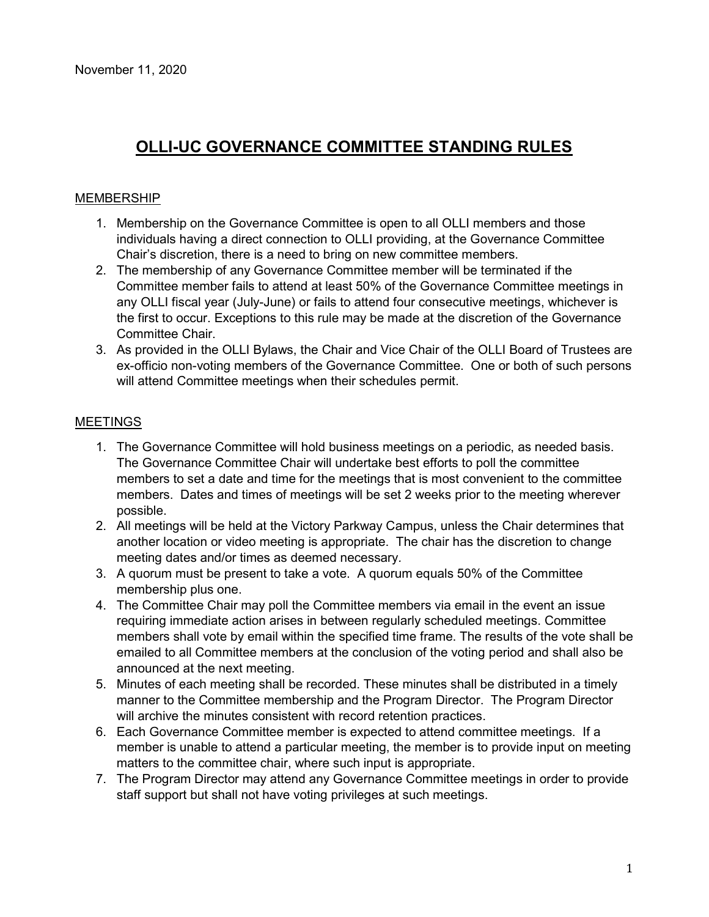#### **MEMBERSHIP**

- 1. Membership on the Governance Committee is open to all OLLI members and those individuals having a direct connection to OLLI providing, at the Governance Committee Chair's discretion, there is a need to bring on new committee members.
- 2. The membership of any Governance Committee member will be terminated if the Committee member fails to attend at least 50% of the Governance Committee meetings in any OLLI fiscal year (July-June) or fails to attend four consecutive meetings, whichever is the first to occur. Exceptions to this rule may be made at the discretion of the Governance Committee Chair.
- 3. As provided in the OLLI Bylaws, the Chair and Vice Chair of the OLLI Board of Trustees are ex-officio non-voting members of the Governance Committee. One or both of such persons will attend Committee meetings when their schedules permit.

#### **MEETINGS**

- 1. The Governance Committee will hold business meetings on a periodic, as needed basis. The Governance Committee Chair will undertake best efforts to poll the committee members to set a date and time for the meetings that is most convenient to the committee members. Dates and times of meetings will be set 2 weeks prior to the meeting wherever possible.
- 2. All meetings will be held at the Victory Parkway Campus, unless the Chair determines that another location or video meeting is appropriate. The chair has the discretion to change meeting dates and/or times as deemed necessary.
- 3. A quorum must be present to take a vote. A quorum equals 50% of the Committee membership plus one.
- 4. The Committee Chair may poll the Committee members via email in the event an issue requiring immediate action arises in between regularly scheduled meetings. Committee members shall vote by email within the specified time frame. The results of the vote shall be emailed to all Committee members at the conclusion of the voting period and shall also be announced at the next meeting.
- 5. Minutes of each meeting shall be recorded. These minutes shall be distributed in a timely manner to the Committee membership and the Program Director. The Program Director will archive the minutes consistent with record retention practices.
- 6. Each Governance Committee member is expected to attend committee meetings. If a member is unable to attend a particular meeting, the member is to provide input on meeting matters to the committee chair, where such input is appropriate.
- 7. The Program Director may attend any Governance Committee meetings in order to provide staff support but shall not have voting privileges at such meetings.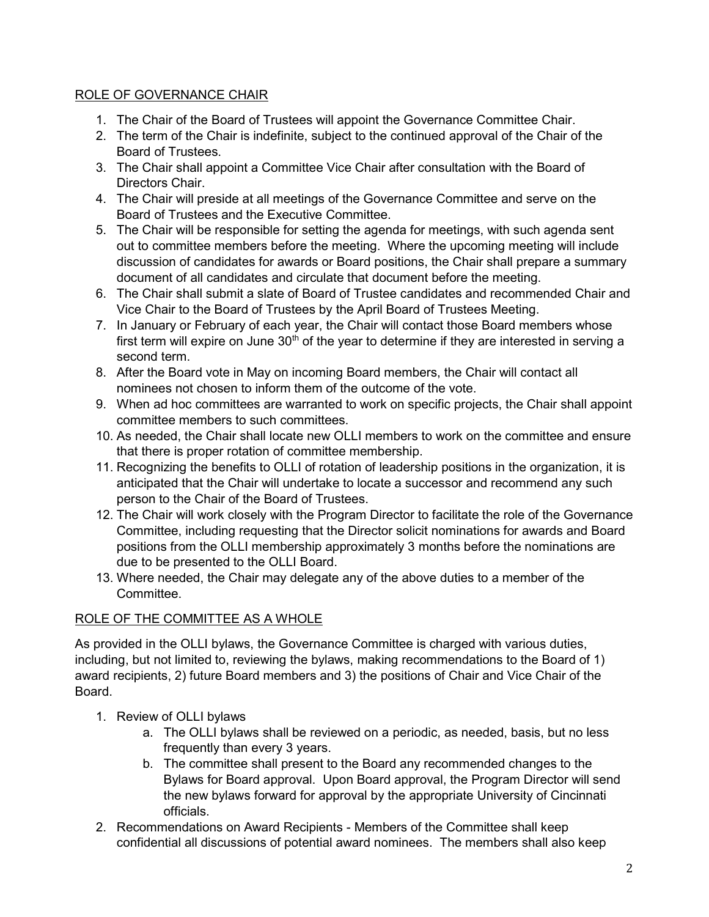#### ROLE OF GOVERNANCE CHAIR

- 1. The Chair of the Board of Trustees will appoint the Governance Committee Chair.
- 2. The term of the Chair is indefinite, subject to the continued approval of the Chair of the Board of Trustees.
- 3. The Chair shall appoint a Committee Vice Chair after consultation with the Board of Directors Chair.
- 4. The Chair will preside at all meetings of the Governance Committee and serve on the Board of Trustees and the Executive Committee.
- 5. The Chair will be responsible for setting the agenda for meetings, with such agenda sent out to committee members before the meeting. Where the upcoming meeting will include discussion of candidates for awards or Board positions, the Chair shall prepare a summary document of all candidates and circulate that document before the meeting.
- 6. The Chair shall submit a slate of Board of Trustee candidates and recommended Chair and Vice Chair to the Board of Trustees by the April Board of Trustees Meeting.
- 7. In January or February of each year, the Chair will contact those Board members whose first term will expire on June  $30<sup>th</sup>$  of the year to determine if they are interested in serving a second term.
- 8. After the Board vote in May on incoming Board members, the Chair will contact all nominees not chosen to inform them of the outcome of the vote.
- 9. When ad hoc committees are warranted to work on specific projects, the Chair shall appoint committee members to such committees.
- 10. As needed, the Chair shall locate new OLLI members to work on the committee and ensure that there is proper rotation of committee membership.
- 11. Recognizing the benefits to OLLI of rotation of leadership positions in the organization, it is anticipated that the Chair will undertake to locate a successor and recommend any such person to the Chair of the Board of Trustees.
- 12. The Chair will work closely with the Program Director to facilitate the role of the Governance Committee, including requesting that the Director solicit nominations for awards and Board positions from the OLLI membership approximately 3 months before the nominations are due to be presented to the OLLI Board.
- 13. Where needed, the Chair may delegate any of the above duties to a member of the Committee.

### ROLE OF THE COMMITTEE AS A WHOLE

As provided in the OLLI bylaws, the Governance Committee is charged with various duties, including, but not limited to, reviewing the bylaws, making recommendations to the Board of 1) award recipients, 2) future Board members and 3) the positions of Chair and Vice Chair of the Board.

- 1. Review of OLLI bylaws
	- a. The OLLI bylaws shall be reviewed on a periodic, as needed, basis, but no less frequently than every 3 years.
	- b. The committee shall present to the Board any recommended changes to the Bylaws for Board approval. Upon Board approval, the Program Director will send the new bylaws forward for approval by the appropriate University of Cincinnati officials.
- 2. Recommendations on Award Recipients Members of the Committee shall keep confidential all discussions of potential award nominees. The members shall also keep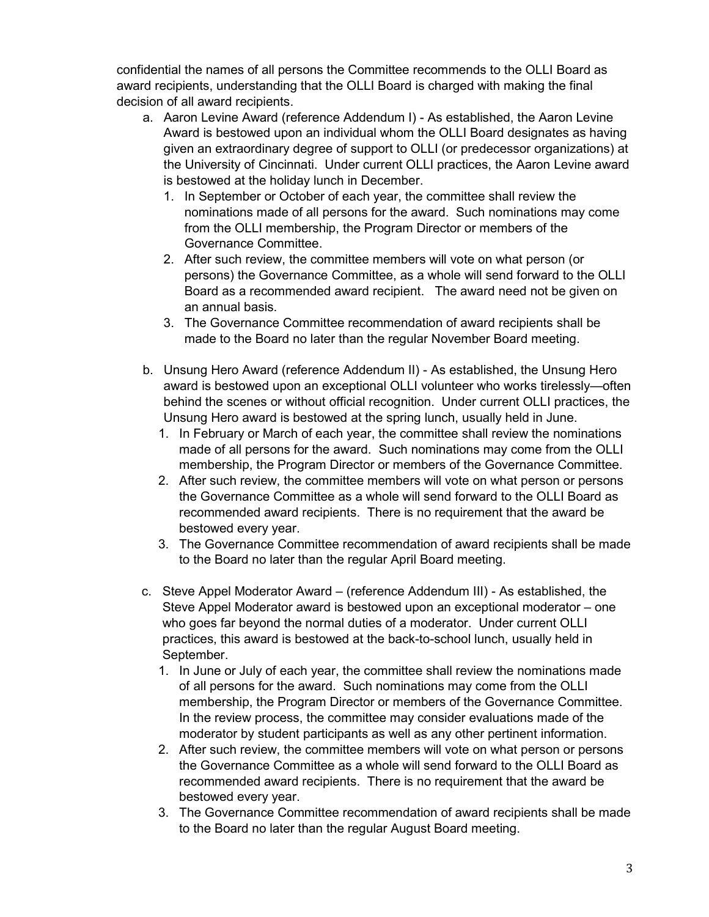confidential the names of all persons the Committee recommends to the OLLI Board as award recipients, understanding that the OLLI Board is charged with making the final decision of all award recipients.

- a. Aaron Levine Award (reference Addendum I) As established, the Aaron Levine Award is bestowed upon an individual whom the OLLI Board designates as having given an extraordinary degree of support to OLLI (or predecessor organizations) at the University of Cincinnati. Under current OLLI practices, the Aaron Levine award is bestowed at the holiday lunch in December.
	- 1. In September or October of each year, the committee shall review the nominations made of all persons for the award. Such nominations may come from the OLLI membership, the Program Director or members of the Governance Committee.
	- 2. After such review, the committee members will vote on what person (or persons) the Governance Committee, as a whole will send forward to the OLLI Board as a recommended award recipient. The award need not be given on an annual basis.
	- 3. The Governance Committee recommendation of award recipients shall be made to the Board no later than the regular November Board meeting.
- b. Unsung Hero Award (reference Addendum II) As established, the Unsung Hero award is bestowed upon an exceptional OLLI volunteer who works tirelessly—often behind the scenes or without official recognition. Under current OLLI practices, the Unsung Hero award is bestowed at the spring lunch, usually held in June.
	- 1. In February or March of each year, the committee shall review the nominations made of all persons for the award. Such nominations may come from the OLLI membership, the Program Director or members of the Governance Committee.
	- 2. After such review, the committee members will vote on what person or persons the Governance Committee as a whole will send forward to the OLLI Board as recommended award recipients. There is no requirement that the award be bestowed every year.
	- 3. The Governance Committee recommendation of award recipients shall be made to the Board no later than the regular April Board meeting.
- c. Steve Appel Moderator Award (reference Addendum III) As established, the Steve Appel Moderator award is bestowed upon an exceptional moderator – one who goes far beyond the normal duties of a moderator. Under current OLLI practices, this award is bestowed at the back-to-school lunch, usually held in September.
	- 1. In June or July of each year, the committee shall review the nominations made of all persons for the award. Such nominations may come from the OLLI membership, the Program Director or members of the Governance Committee. In the review process, the committee may consider evaluations made of the moderator by student participants as well as any other pertinent information.
	- 2. After such review, the committee members will vote on what person or persons the Governance Committee as a whole will send forward to the OLLI Board as recommended award recipients. There is no requirement that the award be bestowed every year.
	- 3. The Governance Committee recommendation of award recipients shall be made to the Board no later than the regular August Board meeting.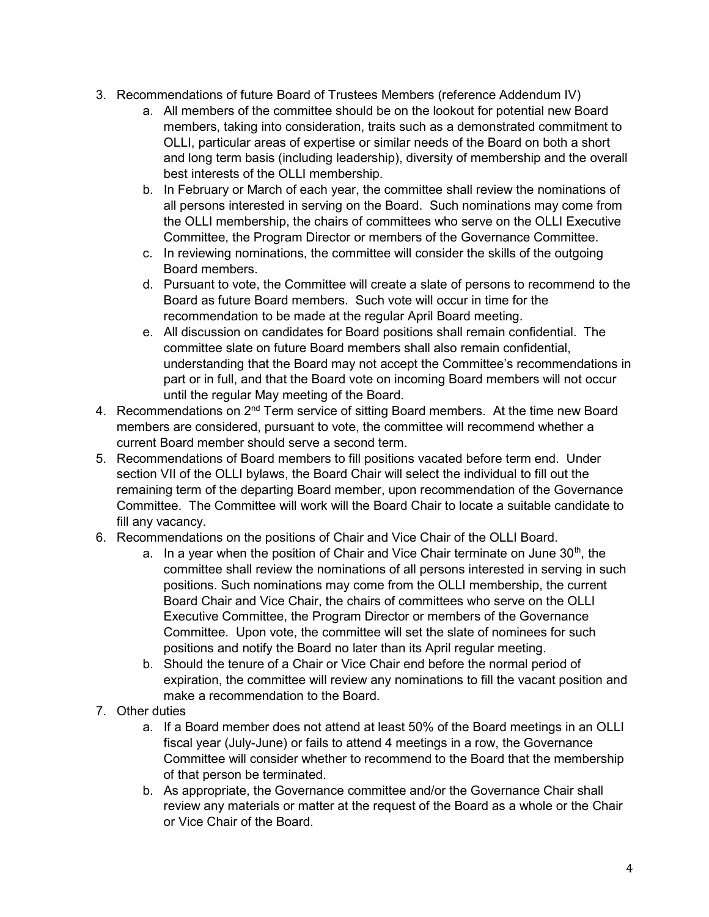- 3. Recommendations of future Board of Trustees Members (reference Addendum IV)
	- a. All members of the committee should be on the lookout for potential new Board members, taking into consideration, traits such as a demonstrated commitment to OLLI, particular areas of expertise or similar needs of the Board on both a short and long term basis (including leadership), diversity of membership and the overall best interests of the OLLI membership.
	- b. In February or March of each year, the committee shall review the nominations of all persons interested in serving on the Board. Such nominations may come from the OLLI membership, the chairs of committees who serve on the OLLI Executive Committee, the Program Director or members of the Governance Committee.
	- c. In reviewing nominations, the committee will consider the skills of the outgoing Board members.
	- d. Pursuant to vote, the Committee will create a slate of persons to recommend to the Board as future Board members. Such vote will occur in time for the recommendation to be made at the regular April Board meeting.
	- e. All discussion on candidates for Board positions shall remain confidential. The committee slate on future Board members shall also remain confidential, understanding that the Board may not accept the Committee's recommendations in part or in full, and that the Board vote on incoming Board members will not occur until the regular May meeting of the Board.
- 4. Recommendations on 2<sup>nd</sup> Term service of sitting Board members. At the time new Board members are considered, pursuant to vote, the committee will recommend whether a current Board member should serve a second term.
- 5. Recommendations of Board members to fill positions vacated before term end. Under section VII of the OLLI bylaws, the Board Chair will select the individual to fill out the remaining term of the departing Board member, upon recommendation of the Governance Committee. The Committee will work will the Board Chair to locate a suitable candidate to fill any vacancy.
- 6. Recommendations on the positions of Chair and Vice Chair of the OLLI Board.
	- a. In a year when the position of Chair and Vice Chair terminate on June  $30<sup>th</sup>$ , the committee shall review the nominations of all persons interested in serving in such positions. Such nominations may come from the OLLI membership, the current Board Chair and Vice Chair, the chairs of committees who serve on the OLLI Executive Committee, the Program Director or members of the Governance Committee. Upon vote, the committee will set the slate of nominees for such positions and notify the Board no later than its April regular meeting.
	- b. Should the tenure of a Chair or Vice Chair end before the normal period of expiration, the committee will review any nominations to fill the vacant position and make a recommendation to the Board.
- 7. Other duties
	- a. If a Board member does not attend at least 50% of the Board meetings in an OLLI fiscal year (July-June) or fails to attend 4 meetings in a row, the Governance Committee will consider whether to recommend to the Board that the membership of that person be terminated.
	- b. As appropriate, the Governance committee and/or the Governance Chair shall review any materials or matter at the request of the Board as a whole or the Chair or Vice Chair of the Board.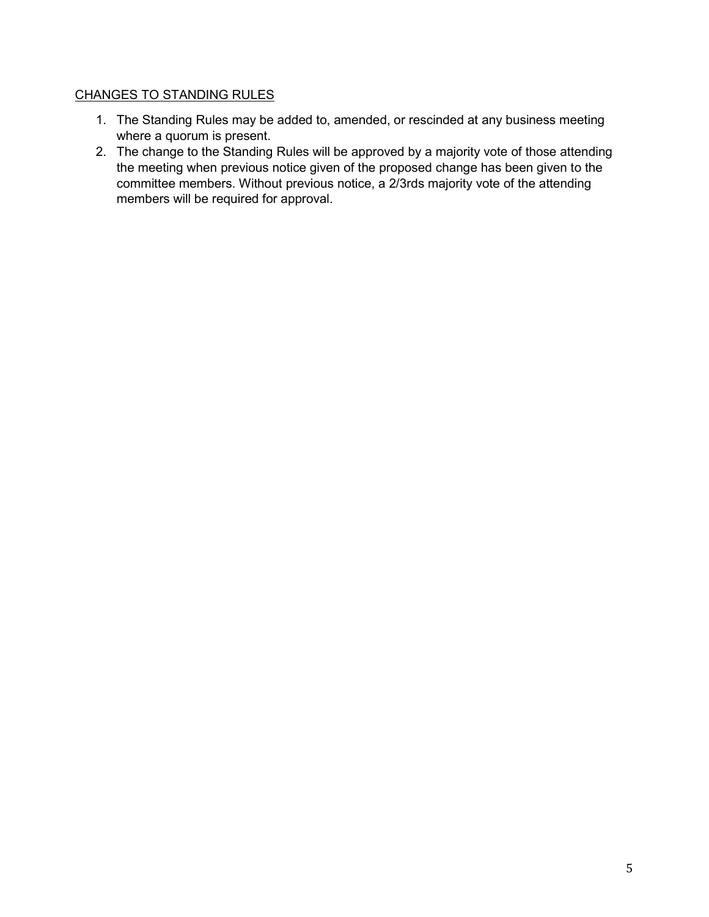### CHANGES TO STANDING RULES

- 1. The Standing Rules may be added to, amended, or rescinded at any business meeting where a quorum is present.
- 2. The change to the Standing Rules will be approved by a majority vote of those attending the meeting when previous notice given of the proposed change has been given to the committee members. Without previous notice, a 2/3rds majority vote of the attending members will be required for approval.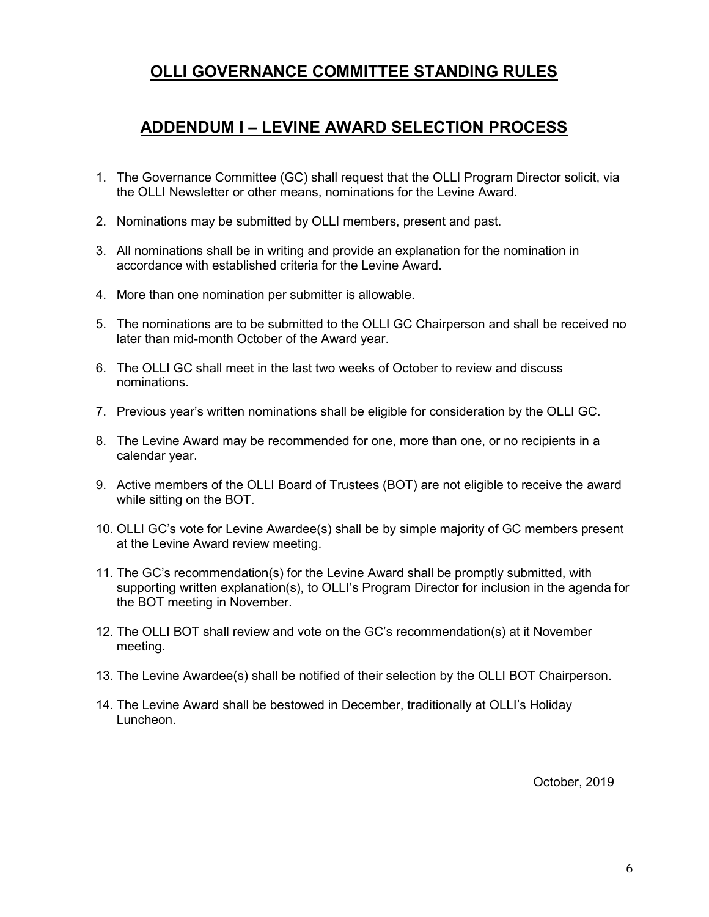## ADDENDUM I – LEVINE AWARD SELECTION PROCESS

- 1. The Governance Committee (GC) shall request that the OLLI Program Director solicit, via the OLLI Newsletter or other means, nominations for the Levine Award.
- 2. Nominations may be submitted by OLLI members, present and past.
- 3. All nominations shall be in writing and provide an explanation for the nomination in accordance with established criteria for the Levine Award.
- 4. More than one nomination per submitter is allowable.
- 5. The nominations are to be submitted to the OLLI GC Chairperson and shall be received no later than mid-month October of the Award year.
- 6. The OLLI GC shall meet in the last two weeks of October to review and discuss nominations.
- 7. Previous year's written nominations shall be eligible for consideration by the OLLI GC.
- 8. The Levine Award may be recommended for one, more than one, or no recipients in a calendar year.
- 9. Active members of the OLLI Board of Trustees (BOT) are not eligible to receive the award while sitting on the BOT.
- 10. OLLI GC's vote for Levine Awardee(s) shall be by simple majority of GC members present at the Levine Award review meeting.
- 11. The GC's recommendation(s) for the Levine Award shall be promptly submitted, with supporting written explanation(s), to OLLI's Program Director for inclusion in the agenda for the BOT meeting in November.
- 12. The OLLI BOT shall review and vote on the GC's recommendation(s) at it November meeting.
- 13. The Levine Awardee(s) shall be notified of their selection by the OLLI BOT Chairperson.
- 14. The Levine Award shall be bestowed in December, traditionally at OLLI's Holiday Luncheon.

October, 2019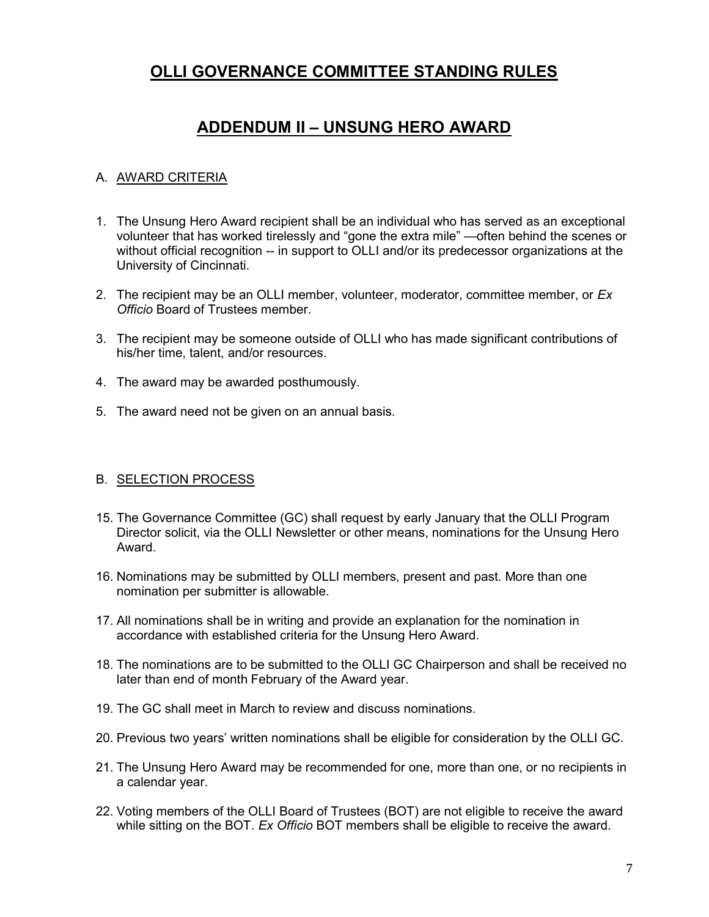## ADDENDUM II – UNSUNG HERO AWARD

#### A. AWARD CRITERIA

- 1. The Unsung Hero Award recipient shall be an individual who has served as an exceptional volunteer that has worked tirelessly and "gone the extra mile" —often behind the scenes or without official recognition -- in support to OLLI and/or its predecessor organizations at the University of Cincinnati.
- 2. The recipient may be an OLLI member, volunteer, moderator, committee member, or  $Ex$ Officio Board of Trustees member.
- 3. The recipient may be someone outside of OLLI who has made significant contributions of his/her time, talent, and/or resources.
- 4. The award may be awarded posthumously.
- 5. The award need not be given on an annual basis.

#### B. SELECTION PROCESS

- 15. The Governance Committee (GC) shall request by early January that the OLLI Program Director solicit, via the OLLI Newsletter or other means, nominations for the Unsung Hero Award.
- 16. Nominations may be submitted by OLLI members, present and past. More than one nomination per submitter is allowable.
- 17. All nominations shall be in writing and provide an explanation for the nomination in accordance with established criteria for the Unsung Hero Award.
- 18. The nominations are to be submitted to the OLLI GC Chairperson and shall be received no later than end of month February of the Award year.
- 19. The GC shall meet in March to review and discuss nominations.
- 20. Previous two years' written nominations shall be eligible for consideration by the OLLI GC.
- 21. The Unsung Hero Award may be recommended for one, more than one, or no recipients in a calendar year.
- 22. Voting members of the OLLI Board of Trustees (BOT) are not eligible to receive the award while sitting on the BOT. Ex Officio BOT members shall be eligible to receive the award.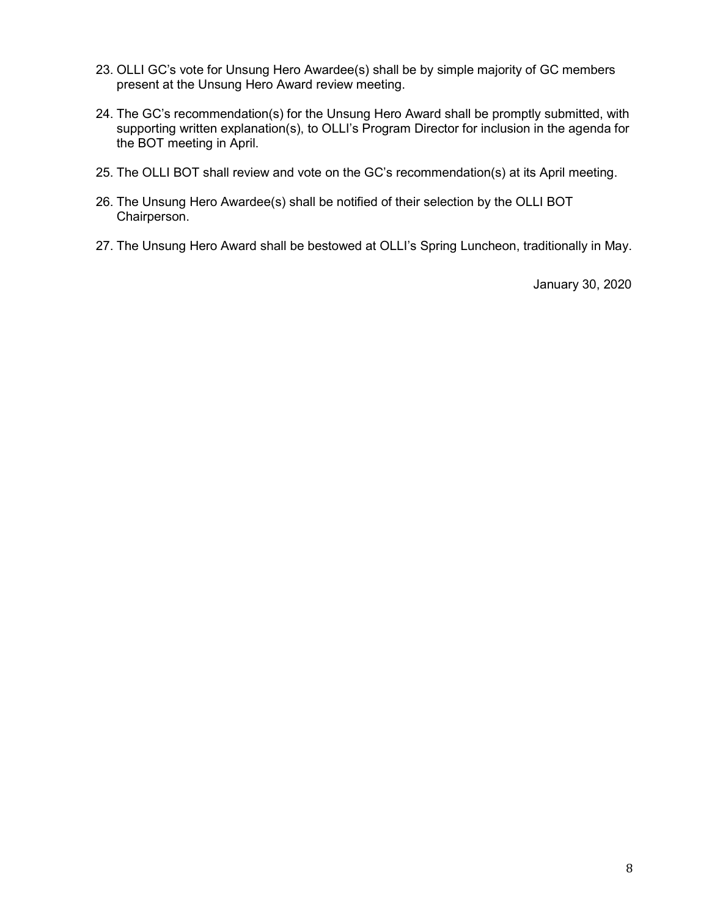- 23. OLLI GC's vote for Unsung Hero Awardee(s) shall be by simple majority of GC members present at the Unsung Hero Award review meeting.
- 24. The GC's recommendation(s) for the Unsung Hero Award shall be promptly submitted, with supporting written explanation(s), to OLLI's Program Director for inclusion in the agenda for the BOT meeting in April.
- 25. The OLLI BOT shall review and vote on the GC's recommendation(s) at its April meeting.
- 26. The Unsung Hero Awardee(s) shall be notified of their selection by the OLLI BOT Chairperson.
- 27. The Unsung Hero Award shall be bestowed at OLLI's Spring Luncheon, traditionally in May.

January 30, 2020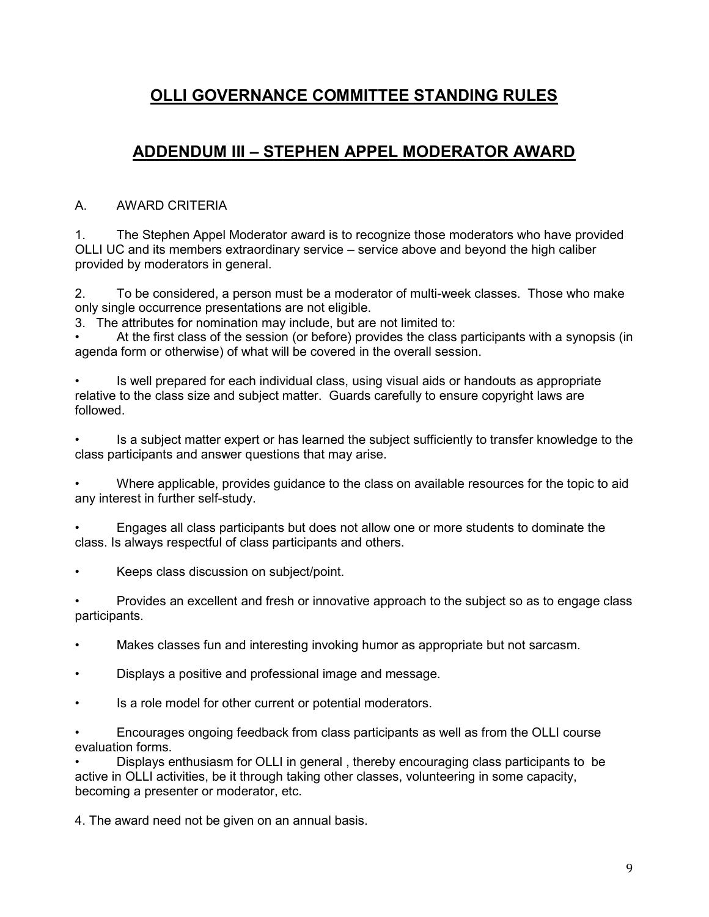# ADDENDUM III – STEPHEN APPEL MODERATOR AWARD

### A. AWARD CRITERIA

1. The Stephen Appel Moderator award is to recognize those moderators who have provided OLLI UC and its members extraordinary service – service above and beyond the high caliber provided by moderators in general.

2. To be considered, a person must be a moderator of multi-week classes. Those who make only single occurrence presentations are not eligible.

3. The attributes for nomination may include, but are not limited to:

• At the first class of the session (or before) provides the class participants with a synopsis (in agenda form or otherwise) of what will be covered in the overall session.

• Is well prepared for each individual class, using visual aids or handouts as appropriate relative to the class size and subject matter. Guards carefully to ensure copyright laws are followed.

• Is a subject matter expert or has learned the subject sufficiently to transfer knowledge to the class participants and answer questions that may arise.

• Where applicable, provides guidance to the class on available resources for the topic to aid any interest in further self-study.

• Engages all class participants but does not allow one or more students to dominate the class. Is always respectful of class participants and others.

• Keeps class discussion on subject/point.

• Provides an excellent and fresh or innovative approach to the subject so as to engage class participants.

- Makes classes fun and interesting invoking humor as appropriate but not sarcasm.
- Displays a positive and professional image and message.
- Is a role model for other current or potential moderators.

• Encourages ongoing feedback from class participants as well as from the OLLI course evaluation forms.

• Displays enthusiasm for OLLI in general , thereby encouraging class participants to be active in OLLI activities, be it through taking other classes, volunteering in some capacity, becoming a presenter or moderator, etc.

4. The award need not be given on an annual basis.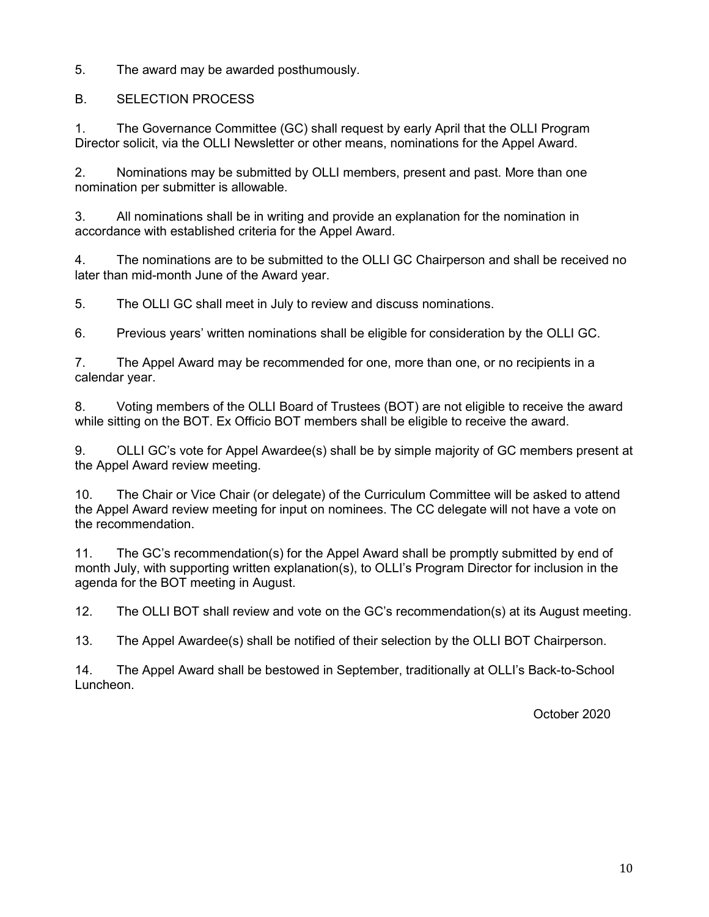5. The award may be awarded posthumously.

#### B. SELECTION PROCESS

1. The Governance Committee (GC) shall request by early April that the OLLI Program Director solicit, via the OLLI Newsletter or other means, nominations for the Appel Award.

2. Nominations may be submitted by OLLI members, present and past. More than one nomination per submitter is allowable.

3. All nominations shall be in writing and provide an explanation for the nomination in accordance with established criteria for the Appel Award.

4. The nominations are to be submitted to the OLLI GC Chairperson and shall be received no later than mid-month June of the Award year.

5. The OLLI GC shall meet in July to review and discuss nominations.

6. Previous years' written nominations shall be eligible for consideration by the OLLI GC.

7. The Appel Award may be recommended for one, more than one, or no recipients in a calendar year.

8. Voting members of the OLLI Board of Trustees (BOT) are not eligible to receive the award while sitting on the BOT. Ex Officio BOT members shall be eligible to receive the award.

9. OLLI GC's vote for Appel Awardee(s) shall be by simple majority of GC members present at the Appel Award review meeting.

10. The Chair or Vice Chair (or delegate) of the Curriculum Committee will be asked to attend the Appel Award review meeting for input on nominees. The CC delegate will not have a vote on the recommendation.

11. The GC's recommendation(s) for the Appel Award shall be promptly submitted by end of month July, with supporting written explanation(s), to OLLI's Program Director for inclusion in the agenda for the BOT meeting in August.

12. The OLLI BOT shall review and vote on the GC's recommendation(s) at its August meeting.

13. The Appel Awardee(s) shall be notified of their selection by the OLLI BOT Chairperson.

14. The Appel Award shall be bestowed in September, traditionally at OLLI's Back-to-School Luncheon.

October 2020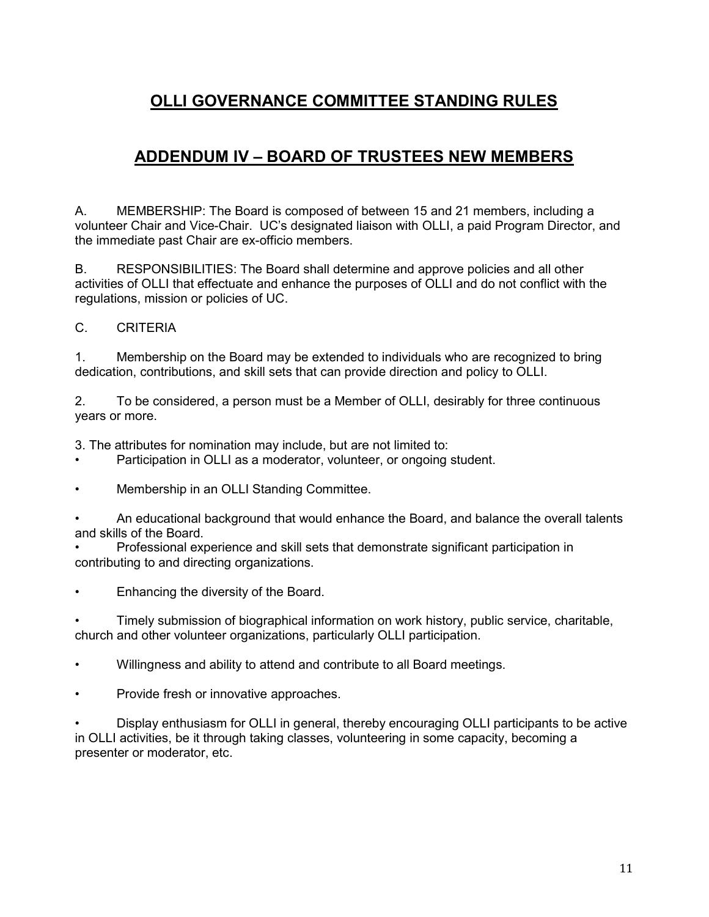# ADDENDUM IV – BOARD OF TRUSTEES NEW MEMBERS

A. MEMBERSHIP: The Board is composed of between 15 and 21 members, including a volunteer Chair and Vice-Chair. UC's designated liaison with OLLI, a paid Program Director, and the immediate past Chair are ex-officio members.

B. RESPONSIBILITIES: The Board shall determine and approve policies and all other activities of OLLI that effectuate and enhance the purposes of OLLI and do not conflict with the regulations, mission or policies of UC.

#### C. CRITERIA

1. Membership on the Board may be extended to individuals who are recognized to bring dedication, contributions, and skill sets that can provide direction and policy to OLLI.

2. To be considered, a person must be a Member of OLLI, desirably for three continuous years or more.

3. The attributes for nomination may include, but are not limited to:

- Participation in OLLI as a moderator, volunteer, or ongoing student.
- Membership in an OLLI Standing Committee.

• An educational background that would enhance the Board, and balance the overall talents and skills of the Board.

- Professional experience and skill sets that demonstrate significant participation in contributing to and directing organizations.
- Enhancing the diversity of the Board.

• Timely submission of biographical information on work history, public service, charitable, church and other volunteer organizations, particularly OLLI participation.

- Willingness and ability to attend and contribute to all Board meetings.
- Provide fresh or innovative approaches.

• Display enthusiasm for OLLI in general, thereby encouraging OLLI participants to be active in OLLI activities, be it through taking classes, volunteering in some capacity, becoming a presenter or moderator, etc.